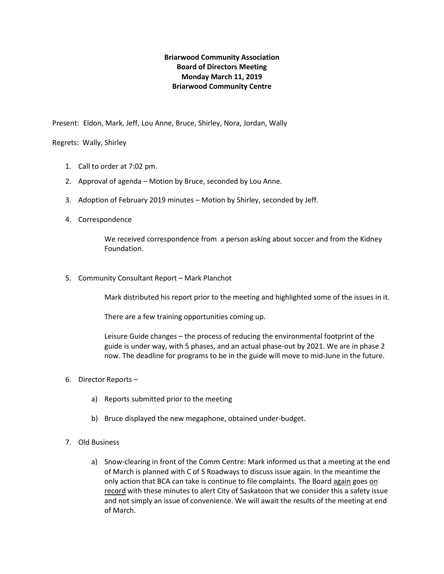## **Briarwood Community Association Board of Directors Meeting Monday March 11, 2019 Briarwood Community Centre**

Present: Eldon, Mark, Jeff, Lou Anne, Bruce, Shirley, Nora, Jordan, Wally

## Regrets: Wally, Shirley

- 1. Call to order at 7:02 pm.
- 2. Approval of agenda Motion by Bruce, seconded by Lou Anne.
- 3. Adoption of February 2019 minutes Motion by Shirley, seconded by Jeff.
- 4. Correspondence

We received correspondence from a person asking about soccer and from the Kidney Foundation.

5. Community Consultant Report – Mark Planchot

Mark distributed his report prior to the meeting and highlighted some of the issues in it.

There are a few training opportunities coming up.

Leisure Guide changes – the process of reducing the environmental footprint of the guide is under way, with 5 phases, and an actual phase-out by 2021. We are in phase 2 now. The deadline for programs to be in the guide will move to mid-June in the future.

- 6. Director Reports
	- a) Reports submitted prior to the meeting
	- b) Bruce displayed the new megaphone, obtained under-budget.
- 7. Old Business
	- a) Snow-clearing in front of the Comm Centre: Mark informed us that a meeting at the end of March is planned with C of S Roadways to discuss issue again. In the meantime the only action that BCA can take is continue to file complaints. The Board again goes on record with these minutes to alert City of Saskatoon that we consider this a safety issue and not simply an issue of convenience. We will await the results of the meeting at end of March.